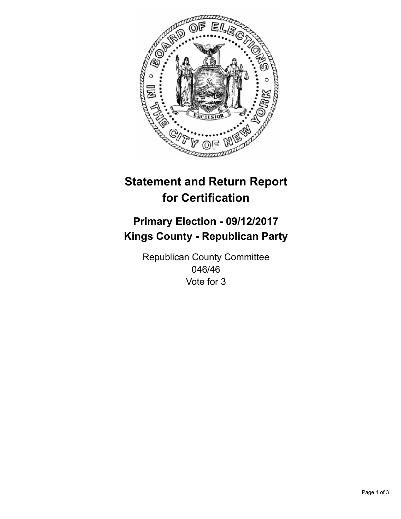

## **Statement and Return Report for Certification**

## **Primary Election - 09/12/2017 Kings County - Republican Party**

Republican County Committee 046/46 Vote for 3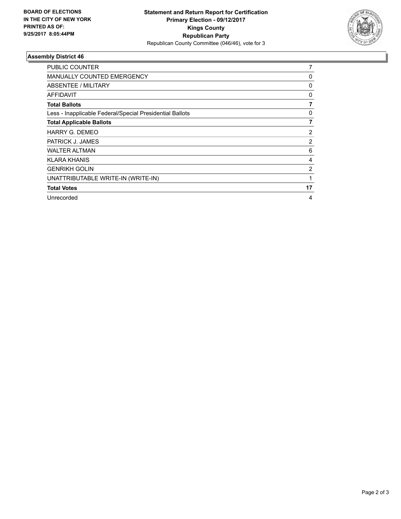

## **Assembly District 46**

| PUBLIC COUNTER                                           | 7              |
|----------------------------------------------------------|----------------|
| <b>MANUALLY COUNTED EMERGENCY</b>                        | 0              |
| ABSENTEE / MILITARY                                      | 0              |
| <b>AFFIDAVIT</b>                                         | 0              |
| <b>Total Ballots</b>                                     | 7              |
| Less - Inapplicable Federal/Special Presidential Ballots | 0              |
| <b>Total Applicable Ballots</b>                          | $\overline{7}$ |
| HARRY G. DEMEO                                           | 2              |
| PATRICK J. JAMES                                         | 2              |
| <b>WALTER ALTMAN</b>                                     | 6              |
| <b>KLARA KHANIS</b>                                      | 4              |
| <b>GENRIKH GOLIN</b>                                     | 2              |
| UNATTRIBUTABLE WRITE-IN (WRITE-IN)                       | 1              |
| <b>Total Votes</b>                                       | 17             |
| Unrecorded                                               | 4              |